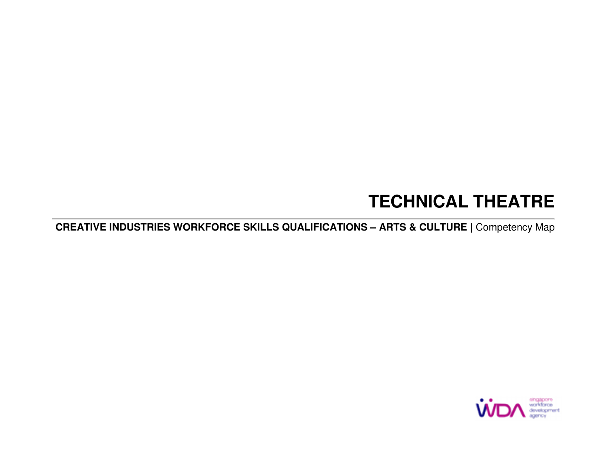# **TECHNICAL THEATRE**

**CREATIVE INDUSTRIES WORKFORCE SKILLS QUALIFICATIONS – ARTS & CULTURE |** Competency Map

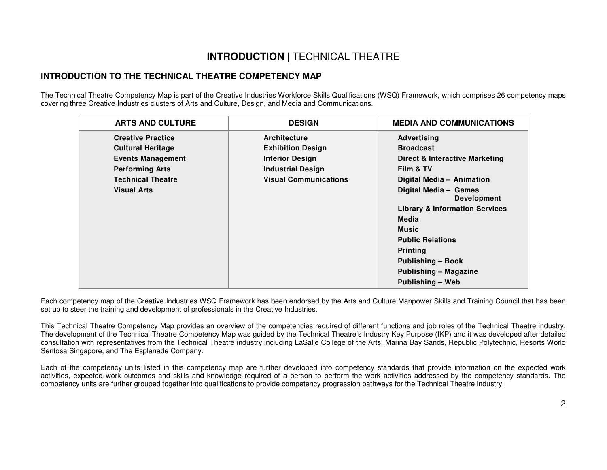### **INTRODUCTION** | TECHNICAL THEATRE

#### **INTRODUCTION TO THE TECHNICAL THEATRE COMPETENCY MAP**

The Technical Theatre Competency Map is part of the Creative Industries Workforce Skills Qualifications (WSQ) Framework, which comprises 26 competency maps covering three Creative Industries clusters of Arts and Culture, Design, and Media and Communications.

| <b>ARTS AND CULTURE</b>  | <b>DESIGN</b>                | <b>MEDIA AND COMMUNICATIONS</b>             |
|--------------------------|------------------------------|---------------------------------------------|
| <b>Creative Practice</b> | <b>Architecture</b>          | <b>Advertising</b>                          |
| <b>Cultural Heritage</b> | <b>Exhibition Design</b>     | <b>Broadcast</b>                            |
| <b>Events Management</b> | <b>Interior Design</b>       | <b>Direct &amp; Interactive Marketing</b>   |
| <b>Performing Arts</b>   | <b>Industrial Design</b>     | Film & TV                                   |
| <b>Technical Theatre</b> | <b>Visual Communications</b> | Digital Media - Animation                   |
| <b>Visual Arts</b>       |                              | Digital Media - Games<br><b>Development</b> |
|                          |                              | <b>Library &amp; Information Services</b>   |
|                          |                              | Media                                       |
|                          |                              | <b>Music</b>                                |
|                          |                              | <b>Public Relations</b>                     |
|                          |                              | <b>Printing</b>                             |
|                          |                              | <b>Publishing - Book</b>                    |
|                          |                              | Publishing - Magazine                       |
|                          |                              | Publishing - Web                            |

Each competency map of the Creative Industries WSQ Framework has been endorsed by the Arts and Culture Manpower Skills and Training Council that has beenset up to steer the training and development of professionals in the Creative Industries.

This Technical Theatre Competency Map provides an overview of the competencies required of different functions and job roles of the Technical Theatre industry. The development of the Technical Theatre Competency Map was guided by the Technical Theatre's Industry Key Purpose (IKP) and it was developed after detailed consultation with representatives from the Technical Theatre industry including LaSalle College of the Arts, Marina Bay Sands, Republic Polytechnic, Resorts World Sentosa Singapore, and The Esplanade Company.

Each of the competency units listed in this competency map are further developed into competency standards that provide information on the expected work activities, expected work outcomes and skills and knowledge required of a person to perform the work activities addressed by the competency standards. The competency units are further grouped together into qualifications to provide competency progression pathways for the Technical Theatre industry.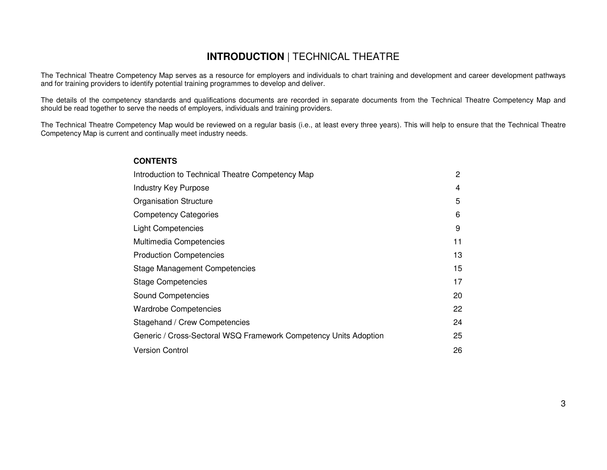### **INTRODUCTION** | TECHNICAL THEATRE

The Technical Theatre Competency Map serves as a resource for employers and individuals to chart training and development and career development pathwaysand for training providers to identify potential training programmes to develop and deliver.

The details of the competency standards and qualifications documents are recorded in separate documents from the Technical Theatre Competency Map and should be read together to serve the needs of employers, individuals and training providers.

The Technical Theatre Competency Map would be reviewed on a regular basis (i.e., at least every three years). This will help to ensure that the Technical Theatre Competency Map is current and continually meet industry needs.

### **CONTENTS** Introduction to Technical Theatre Competency Map 2 Industry Key Purpose 4 **Organisation Structure 5** Competency Categories 6 Light Competencies 9 Multimedia Competencies 11 Production Competencies 13 Stage Management Competencies 15 Stage Competencies 17 Sound Competencies 20 Wardrobe Competencies 22 Stagehand / Crew Competencies 24 Generic / Cross-Sectoral WSQ Framework Competency Units Adoption 25 Version Control 26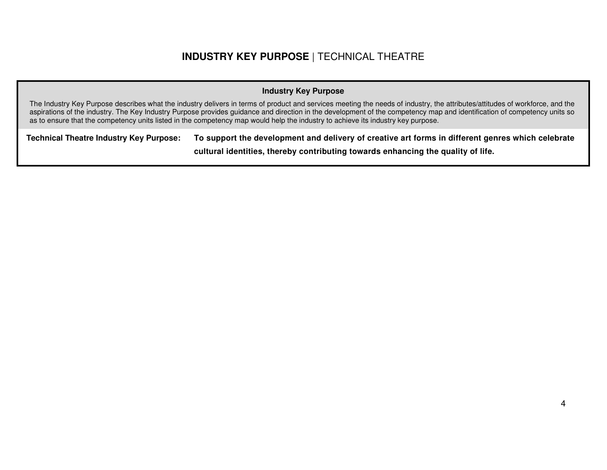### **INDUSTRY KEY PURPOSE** | TECHNICAL THEATRE

#### **Industry Key Purpose**

The Industry Key Purpose describes what the industry delivers in terms of product and services meeting the needs of industry, the attributes/attitudes of workforce, and the aspirations of the industry. The Key Industry Purpose provides guidance and direction in the development of the competency map and identification of competency units so as to ensure that the competency units listed in the competency map would help the industry to achieve its industry key purpose.

**Technical Theatre Industry Key Purpose: To support the development and delivery of creative art forms in different genres which celebrate** 

**cultural identities, thereby contributing towards enhancing the quality of life.**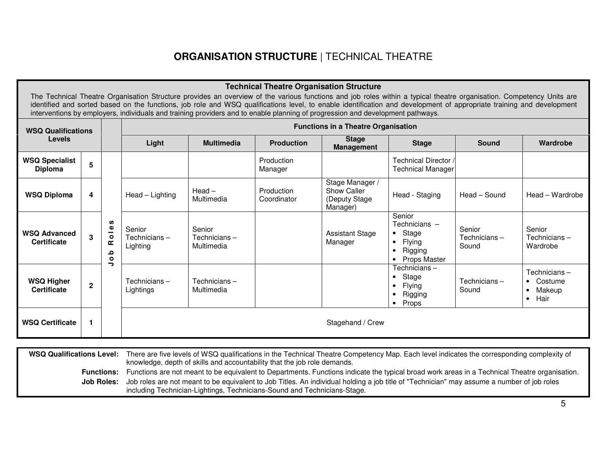### **ORGANISATION STRUCTURE** | TECHNICAL THEATRE

| <b>Technical Theatre Organisation Structure</b><br>The Technical Theatre Organisation Structure provides an overview of the various functions and job roles within a typical theatre organisation. Competency Units are<br>identified and sorted based on the functions, job role and WSQ qualifications level, to enable identification and development of appropriate training and development<br>interventions by employers, individuals and training providers and to enable planning of progression and development pathways. |                |                                                            |                                    |                                                                                                                         |                           |                                                             |                                                                                                              |                                 |                                                            |
|------------------------------------------------------------------------------------------------------------------------------------------------------------------------------------------------------------------------------------------------------------------------------------------------------------------------------------------------------------------------------------------------------------------------------------------------------------------------------------------------------------------------------------|----------------|------------------------------------------------------------|------------------------------------|-------------------------------------------------------------------------------------------------------------------------|---------------------------|-------------------------------------------------------------|--------------------------------------------------------------------------------------------------------------|---------------------------------|------------------------------------------------------------|
| <b>WSQ Qualifications</b>                                                                                                                                                                                                                                                                                                                                                                                                                                                                                                          |                |                                                            |                                    |                                                                                                                         |                           | <b>Functions in a Theatre Organisation</b>                  |                                                                                                              |                                 |                                                            |
| <b>Levels</b>                                                                                                                                                                                                                                                                                                                                                                                                                                                                                                                      |                |                                                            | Light                              | <b>Stage</b><br><b>Multimedia</b><br><b>Production</b><br><b>Stage</b><br><b>Sound</b><br>Wardrobe<br><b>Management</b> |                           |                                                             |                                                                                                              |                                 |                                                            |
| <b>WSQ Specialist</b><br><b>Diploma</b>                                                                                                                                                                                                                                                                                                                                                                                                                                                                                            | 5              |                                                            |                                    |                                                                                                                         | Production<br>Manager     |                                                             | Technical Director /<br><b>Technical Manager</b>                                                             |                                 |                                                            |
| <b>WSQ Diploma</b>                                                                                                                                                                                                                                                                                                                                                                                                                                                                                                                 | 4              |                                                            | Head - Lighting                    | $Head -$<br>Multimedia                                                                                                  | Production<br>Coordinator | Stage Manager /<br>Show Caller<br>(Deputy Stage<br>Manager) | Head - Staging                                                                                               | Head - Sound                    | Head - Wardrobe                                            |
| <b>WSQ Advanced</b><br><b>Certificate</b>                                                                                                                                                                                                                                                                                                                                                                                                                                                                                          | 3              | w<br>$\mathbf{Q}$<br>—<br>$\bullet$<br>œ<br>ء<br>$\bullet$ | Senior<br>Technicians-<br>Lighting | Senior<br>Technicians-<br>Multimedia                                                                                    |                           | <b>Assistant Stage</b><br>Manager                           | Senior<br>Technicians -<br>Stage<br>$\bullet$<br>Flying<br>$\bullet$<br>Rigging<br>$\bullet$<br>Props Master | Senior<br>Technicians-<br>Sound | Senior<br>Technicians-<br>Wardrobe                         |
| <b>WSQ Higher</b><br><b>Certificate</b>                                                                                                                                                                                                                                                                                                                                                                                                                                                                                            | $\overline{2}$ | っ                                                          | Technicians-<br>Lightings          | Technicians-<br>Multimedia                                                                                              |                           |                                                             | Technicians-<br>Stage<br>٠<br>Flying<br>$\bullet$<br>Rigging<br><b>Props</b><br>$\bullet$                    | Technicians-<br>Sound           | Technicians-<br>• Costume<br>Makeup<br>$\bullet$<br>• Hair |
| <b>WSQ Certificate</b>                                                                                                                                                                                                                                                                                                                                                                                                                                                                                                             | 1              |                                                            |                                    | Stagehand / Crew                                                                                                        |                           |                                                             |                                                                                                              |                                 |                                                            |

WSQ Qualifications Level: There are five levels of WSQ qualifications in the Technical Theatre Competency Map. Each level indicates the corresponding complexity of Functions: Functions are not meant to be equivalent to Departments. Functions indicate the typical broad work areas in a Technical Theatre organisation. Job Roles: Job roles are not meant to be equivalent to Job Titles. An individual holding a job title of "Technician" may assume a number of job roles knowledge, depth of skills and accountability that the job role demands.including Technician-Lightings, Technicians-Sound and Technicians-Stage.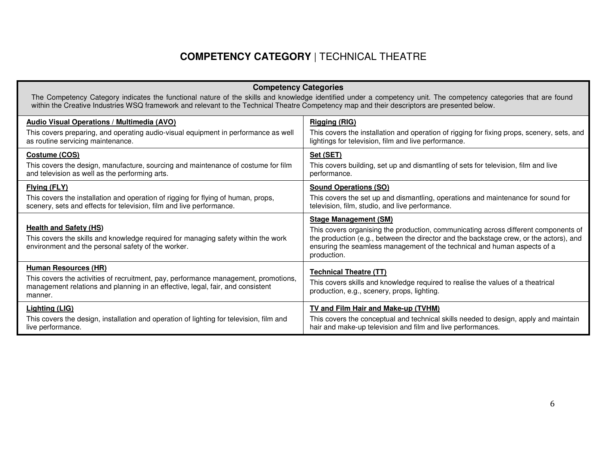## **COMPETENCY CATEGORY** | TECHNICAL THEATRE

| <b>Competency Categories</b><br>The Competency Category indicates the functional nature of the skills and knowledge identified under a competency unit. The competency categories that are found<br>within the Creative Industries WSQ framework and relevant to the Technical Theatre Competency map and their descriptors are presented below. |                                                                                                                                                                                                                                                                                                          |  |  |  |  |
|--------------------------------------------------------------------------------------------------------------------------------------------------------------------------------------------------------------------------------------------------------------------------------------------------------------------------------------------------|----------------------------------------------------------------------------------------------------------------------------------------------------------------------------------------------------------------------------------------------------------------------------------------------------------|--|--|--|--|
| <b>Audio Visual Operations / Multimedia (AVO)</b>                                                                                                                                                                                                                                                                                                | <b>Rigging (RIG)</b>                                                                                                                                                                                                                                                                                     |  |  |  |  |
| This covers preparing, and operating audio-visual equipment in performance as well<br>as routine servicing maintenance.                                                                                                                                                                                                                          | This covers the installation and operation of rigging for fixing props, scenery, sets, and<br>lightings for television, film and live performance.                                                                                                                                                       |  |  |  |  |
| Costume (COS)                                                                                                                                                                                                                                                                                                                                    | Set (SET)                                                                                                                                                                                                                                                                                                |  |  |  |  |
| This covers the design, manufacture, sourcing and maintenance of costume for film<br>and television as well as the performing arts.                                                                                                                                                                                                              | This covers building, set up and dismantling of sets for television, film and live<br>performance.                                                                                                                                                                                                       |  |  |  |  |
| Flying (FLY)                                                                                                                                                                                                                                                                                                                                     | <b>Sound Operations (SO)</b>                                                                                                                                                                                                                                                                             |  |  |  |  |
| This covers the installation and operation of rigging for flying of human, props,<br>scenery, sets and effects for television, film and live performance.                                                                                                                                                                                        | This covers the set up and dismantling, operations and maintenance for sound for<br>television, film, studio, and live performance.                                                                                                                                                                      |  |  |  |  |
| <b>Health and Safety (HS)</b><br>This covers the skills and knowledge required for managing safety within the work<br>environment and the personal safety of the worker.                                                                                                                                                                         | <b>Stage Management (SM)</b><br>This covers organising the production, communicating across different components of<br>the production (e.g., between the director and the backstage crew, or the actors), and<br>ensuring the seamless management of the technical and human aspects of a<br>production. |  |  |  |  |
| <b>Human Resources (HR)</b><br>This covers the activities of recruitment, pay, performance management, promotions,<br>management relations and planning in an effective, legal, fair, and consistent<br>manner.                                                                                                                                  | <b>Technical Theatre (TT)</b><br>This covers skills and knowledge required to realise the values of a theatrical<br>production, e.g., scenery, props, lighting.                                                                                                                                          |  |  |  |  |
| <b>Lighting (LIG)</b><br>This covers the design, installation and operation of lighting for television, film and<br>live performance.                                                                                                                                                                                                            | <b>TV and Film Hair and Make-up (TVHM)</b><br>This covers the conceptual and technical skills needed to design, apply and maintain<br>hair and make-up television and film and live performances.                                                                                                        |  |  |  |  |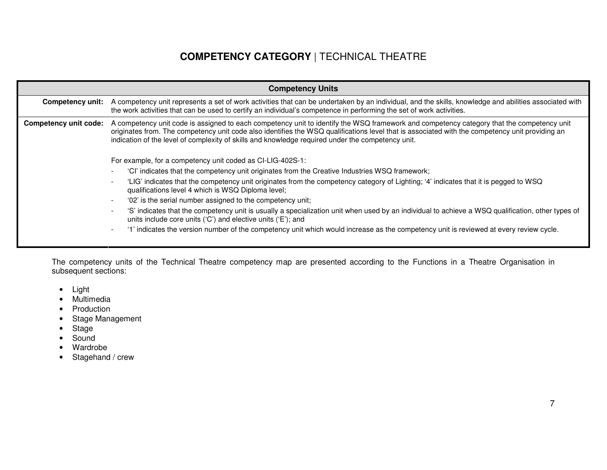### **COMPETENCY CATEGORY** | TECHNICAL THEATRE

|                              | <b>Competency Units</b>                                                                                                                                                                                                                                                                                                                                                                           |  |  |  |  |  |
|------------------------------|---------------------------------------------------------------------------------------------------------------------------------------------------------------------------------------------------------------------------------------------------------------------------------------------------------------------------------------------------------------------------------------------------|--|--|--|--|--|
| Competency unit:             | A competency unit represents a set of work activities that can be undertaken by an individual, and the skills, knowledge and abilities associated with<br>the work activities that can be used to certify an individual's competence in performing the set of work activities.                                                                                                                    |  |  |  |  |  |
| <b>Competency unit code:</b> | A competency unit code is assigned to each competency unit to identify the WSQ framework and competency category that the competency unit<br>originates from. The competency unit code also identifies the WSQ qualifications level that is associated with the competency unit providing an<br>indication of the level of complexity of skills and knowledge required under the competency unit. |  |  |  |  |  |
|                              | For example, for a competency unit coded as CI-LIG-402S-1:                                                                                                                                                                                                                                                                                                                                        |  |  |  |  |  |
|                              | 'Cl' indicates that the competency unit originates from the Creative Industries WSQ framework;                                                                                                                                                                                                                                                                                                    |  |  |  |  |  |
|                              | 'LIG' indicates that the competency unit originates from the competency category of Lighting; '4' indicates that it is pegged to WSQ<br>qualifications level 4 which is WSQ Diploma level;                                                                                                                                                                                                        |  |  |  |  |  |
|                              | '02' is the serial number assigned to the competency unit;                                                                                                                                                                                                                                                                                                                                        |  |  |  |  |  |
|                              | 'S' indicates that the competency unit is usually a specialization unit when used by an individual to achieve a WSQ qualification, other types of<br>units include core units ('C') and elective units ('E'); and                                                                                                                                                                                 |  |  |  |  |  |
|                              | '1' indicates the version number of the competency unit which would increase as the competency unit is reviewed at every review cycle.                                                                                                                                                                                                                                                            |  |  |  |  |  |
|                              |                                                                                                                                                                                                                                                                                                                                                                                                   |  |  |  |  |  |

The competency units of the Technical Theatre competency map are presented according to the Functions in a Theatre Organisation in subsequent sections:

- Light
- Multimedia
- Production
- Stage Management
- Stage
- Sound
- Wardrobe
- Stagehand / crew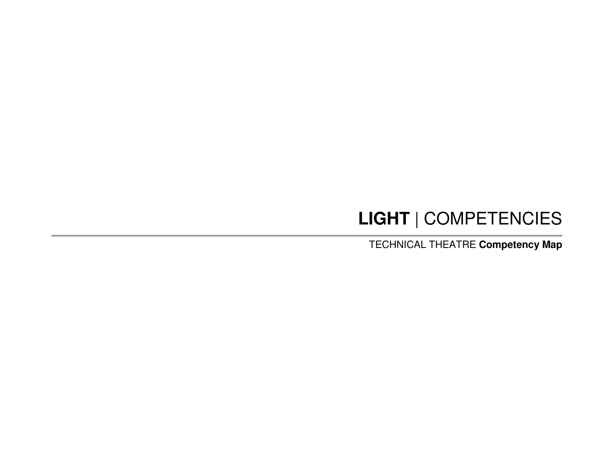# **LIGHT** | COMPETENCIES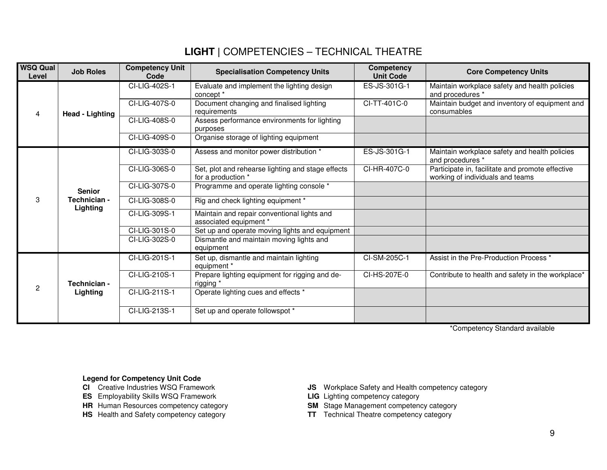| <b>WSQ Qual</b><br>Level | <b>Job Roles</b>         | <b>Competency Unit</b><br>Code | <b>Specialisation Competency Units</b>                                  | Competency<br><b>Unit Code</b> | <b>Core Competency Units</b>                                                         |
|--------------------------|--------------------------|--------------------------------|-------------------------------------------------------------------------|--------------------------------|--------------------------------------------------------------------------------------|
|                          |                          | CI-LIG-402S-1                  | Evaluate and implement the lighting design<br>concept *                 | ES-JS-301G-1                   | Maintain workplace safety and health policies<br>and procedures *                    |
| ⊿                        | Head - Lighting          | CI-LIG-407S-0                  | Document changing and finalised lighting<br>requirements                | CI-TT-401C-0                   | Maintain budget and inventory of equipment and<br>consumables                        |
|                          |                          | CI-LIG-408S-0                  | Assess performance environments for lighting<br>purposes                |                                |                                                                                      |
|                          |                          | CI-LIG-409S-0                  | Organise storage of lighting equipment                                  |                                |                                                                                      |
|                          |                          | CI-LIG-303S-0                  | Assess and monitor power distribution *                                 | ES-JS-301G-1                   | Maintain workplace safety and health policies<br>and procedures *                    |
|                          |                          | CI-LIG-306S-0                  | Set, plot and rehearse lighting and stage effects<br>for a production * | CI-HR-407C-0                   | Participate in, facilitate and promote effective<br>working of individuals and teams |
|                          | <b>Senior</b>            | CI-LIG-307S-0                  | Programme and operate lighting console *                                |                                |                                                                                      |
| 3                        | Technician -<br>Lighting | CI-LIG-308S-0                  | Rig and check lighting equipment *                                      |                                |                                                                                      |
|                          |                          | CI-LIG-309S-1                  | Maintain and repair conventional lights and<br>associated equipment *   |                                |                                                                                      |
|                          |                          | CI-LIG-301S-0                  | Set up and operate moving lights and equipment                          |                                |                                                                                      |
|                          |                          | CI-LIG-302S-0                  | Dismantle and maintain moving lights and<br>equipment                   |                                |                                                                                      |
| 2                        |                          | CI-LIG-201S-1                  | Set up, dismantle and maintain lighting<br>equipment *                  | CI-SM-205C-1                   | Assist in the Pre-Production Process *                                               |
|                          | Technician -             | CI-LIG-210S-1                  | Prepare lighting equipment for rigging and de-<br>rigging *             | CI-HS-207E-0                   | Contribute to health and safety in the workplace*                                    |
|                          | Lighting                 | CI-LIG-211S-1                  | Operate lighting cues and effects *                                     |                                |                                                                                      |
|                          |                          | CI-LIG-213S-1                  | Set up and operate followspot *                                         |                                |                                                                                      |

\*Competency Standard available

#### **Legend for Competency Unit Code**

- **CI** Creative Industries WSQ Framework
- 
- **ES** Employability Skills WSQ Framework<br>**HR** Human Resources competency category
- 
- **JS** Workplace Safety and Health competency category<br>**LIG** Lighting competency category
- 
- **HR** Human Resources competency category **SM** Stage Management competency category
- **HS** Health and Safety competency category **TT** Technical Theatre competency category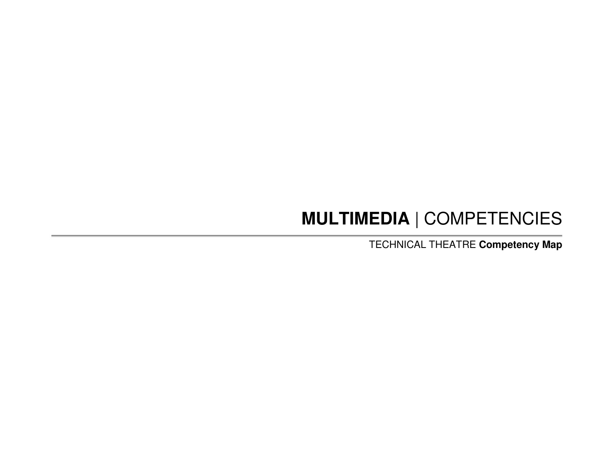# **MULTIMEDIA** | COMPETENCIES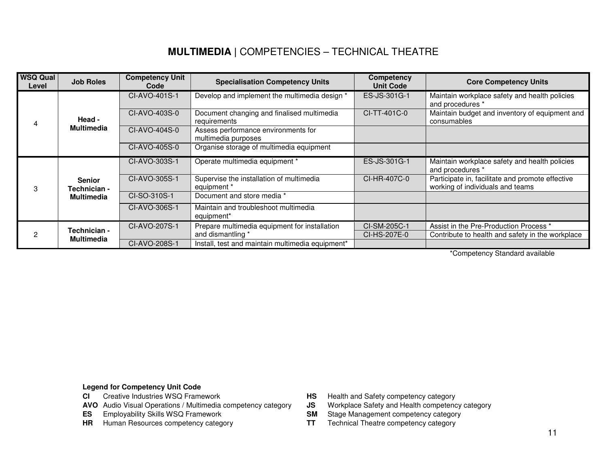# **MULTIMEDIA |** COMPETENCIES – TECHNICAL THEATRE

| <b>WSQ Qual</b><br>Level | <b>Job Roles</b>              | <b>Competency Unit</b><br>Code | <b>Specialisation Competency Units</b>                         | Competency<br><b>Unit Code</b> | <b>Core Competency Units</b>                                                         |
|--------------------------|-------------------------------|--------------------------------|----------------------------------------------------------------|--------------------------------|--------------------------------------------------------------------------------------|
|                          |                               | CI-AVO-401S-1                  | Develop and implement the multimedia design *                  | ES-JS-301G-1                   | Maintain workplace safety and health policies<br>and procedures *                    |
|                          | Head -                        | CI-AVO-403S-0                  | Document changing and finalised multimedia<br>requirements     | CI-TT-401C-0                   | Maintain budget and inventory of equipment and<br>consumables                        |
|                          | <b>Multimedia</b>             | CI-AVO-404S-0                  | Assess performance environments for<br>multimedia purposes     |                                |                                                                                      |
|                          |                               | CI-AVO-405S-0                  | Organise storage of multimedia equipment                       |                                |                                                                                      |
|                          | <b>Senior</b><br>Technician - | CI-AVO-303S-1                  | Operate multimedia equipment *                                 | ES-JS-301G-1                   | Maintain workplace safety and health policies<br>and procedures *                    |
|                          |                               | CI-AVO-305S-1                  | Supervise the installation of multimedia<br>equipment *        | CI-HR-407C-0                   | Participate in, facilitate and promote effective<br>working of individuals and teams |
|                          | Multimedia                    | CI-SO-310S-1                   | Document and store media *                                     |                                |                                                                                      |
|                          |                               | CI-AVO-306S-1                  | Maintain and troubleshoot multimedia<br>equipment <sup>*</sup> |                                |                                                                                      |
|                          | Technician -                  | CI-AVO-207S-1                  | Prepare multimedia equipment for installation                  | CI-SM-205C-1                   | Assist in the Pre-Production Process *                                               |
|                          | <b>Multimedia</b>             |                                | and dismantling *                                              | CI-HS-207E-0                   | Contribute to health and safety in the workplace                                     |
|                          |                               | CI-AVO-208S-1                  | Install, test and maintain multimedia equipment*               |                                |                                                                                      |

\*Competency Standard available

#### **Legend for Competency Unit Code**

- Creative Industries WSQ Framework **CI** Creative Industries WSQ Framework **HS** Health and Safety competency category
- **AVO** Audio Visual Operations / Multimedia competency category **JS** Workplace Safety and Health competency **ES** Employability Skills WSQ Framework **SM** Stage Management competency category
- **ES** Employability Skills WSQ Framework SM
- **HR** Human Resources competency category **TT**
- 
- Workplace Safety and Health competency category
- 
- Technical Theatre competency category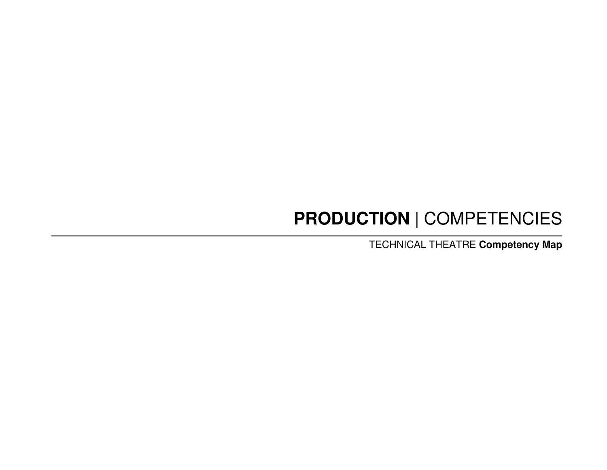# **PRODUCTION** | COMPETENCIES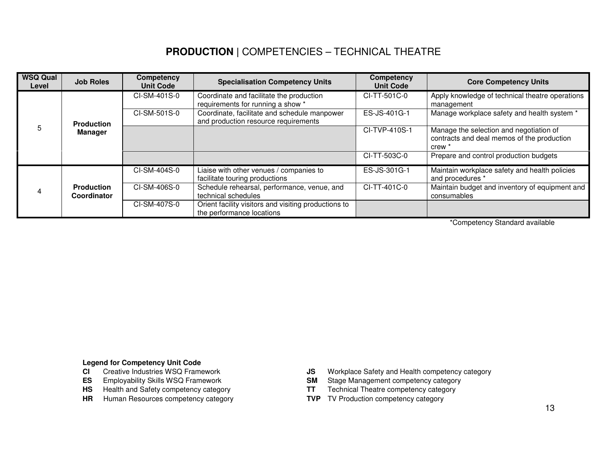# **PRODUCTION |** COMPETENCIES – TECHNICAL THEATRE

| <b>WSQ Qual</b><br>Level | <b>Job Roles</b>                 | Competency<br><b>Unit Code</b> | <b>Specialisation Competency Units</b>                                               | Competency<br><b>Unit Code</b> | <b>Core Competency Units</b>                                                                               |
|--------------------------|----------------------------------|--------------------------------|--------------------------------------------------------------------------------------|--------------------------------|------------------------------------------------------------------------------------------------------------|
|                          |                                  | CI-SM-401S-0                   | Coordinate and facilitate the production<br>requirements for running a show *        | CI-TT-501C-0                   | Apply knowledge of technical theatre operations<br>management                                              |
|                          | <b>Production</b>                | CI-SM-501S-0                   | Coordinate, facilitate and schedule manpower<br>and production resource requirements | ES-JS-401G-1                   | Manage workplace safety and health system *                                                                |
| 5                        | Manager                          |                                |                                                                                      | CI-TVP-410S-1                  | Manage the selection and negotiation of<br>contracts and deal memos of the production<br>crew <sup>3</sup> |
|                          |                                  |                                |                                                                                      | CI-TT-503C-0                   | Prepare and control production budgets                                                                     |
|                          |                                  | CI-SM-404S-0                   | Liaise with other venues / companies to<br>facilitate touring productions            | ES-JS-301G-1                   | Maintain workplace safety and health policies<br>and procedures *                                          |
| 4                        | <b>Production</b><br>Coordinator | CI-SM-406S-0                   | Schedule rehearsal, performance, venue, and<br>technical schedules                   | CI-TT-401C-0                   | Maintain budget and inventory of equipment and<br>consumables                                              |
|                          |                                  | CI-SM-407S-0                   | Orient facility visitors and visiting productions to<br>the performance locations    |                                |                                                                                                            |

\*Competency Standard available

#### **Legend for Competency Unit Code**

- Creative Industries WSQ Framework
- 
- 
- **HS** Health and Safety competency category<br> **HR** Human Resources competency category<br> **HR** Human Resources competency category<br> **HR** Human Resources competency category **HR** Human Resources competency category
- **CI** Creative Industries WSQ Framework **JS** Workplace Safety and Health competency category
- **ES** Employability Skills WSQ Framework **SM Stage Management competency category** 
	- Technical Theatre competency category
	-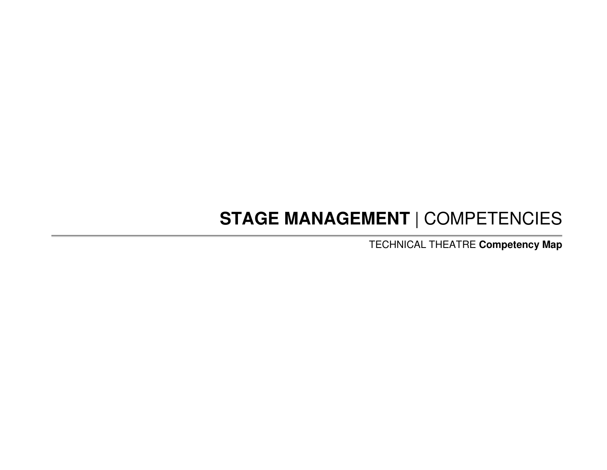# **STAGE MANAGEMENT** | COMPETENCIES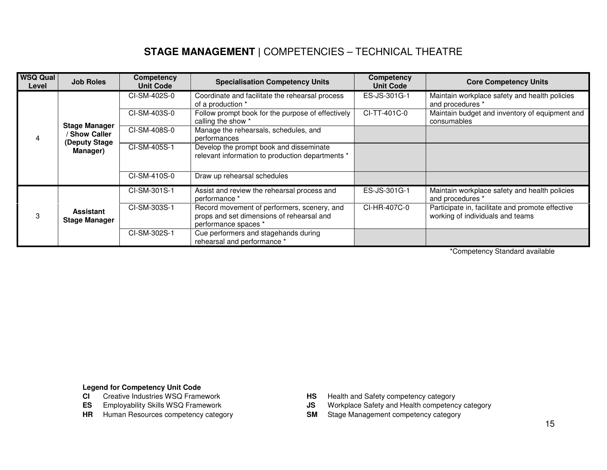# **STAGE MANAGEMENT |** COMPETENCIES – TECHNICAL THEATRE

| <b>WSQ Qual</b><br>Level | <b>Job Roles</b>                         | Competency<br><b>Unit Code</b> | <b>Specialisation Competency Units</b>                                                                           | Competency<br><b>Unit Code</b> | <b>Core Competency Units</b>                                                         |
|--------------------------|------------------------------------------|--------------------------------|------------------------------------------------------------------------------------------------------------------|--------------------------------|--------------------------------------------------------------------------------------|
|                          |                                          | CI-SM-402S-0                   | Coordinate and facilitate the rehearsal process<br>of a production *                                             | ES-JS-301G-1                   | Maintain workplace safety and health policies<br>and procedures *                    |
|                          | <b>Stage Manager</b>                     | CI-SM-403S-0                   | Follow prompt book for the purpose of effectively<br>calling the show *                                          | CI-TT-401C-0                   | Maintain budget and inventory of equipment and<br>consumables                        |
|                          | <b>Show Caller</b><br>(Deputy Stage      | CI-SM-408S-0                   | Manage the rehearsals, schedules, and<br>performances                                                            |                                |                                                                                      |
|                          | Manager)                                 | CI-SM-405S-1                   | Develop the prompt book and disseminate<br>relevant information to production departments *                      |                                |                                                                                      |
|                          |                                          | CI-SM-410S-0                   | Draw up rehearsal schedules                                                                                      |                                |                                                                                      |
| 3                        |                                          | CI-SM-301S-1                   | Assist and review the rehearsal process and<br>performance *                                                     | ES-JS-301G-1                   | Maintain workplace safety and health policies<br>and procedures *                    |
|                          | <b>Assistant</b><br><b>Stage Manager</b> | CI-SM-303S-1                   | Record movement of performers, scenery, and<br>props and set dimensions of rehearsal and<br>performance spaces * | CI-HR-407C-0                   | Participate in, facilitate and promote effective<br>working of individuals and teams |
|                          |                                          | CI-SM-302S-1                   | Cue performers and stagehands during<br>rehearsal and performance *                                              |                                |                                                                                      |

\*Competency Standard available

**Legend for Competency Unit Code** 

- Creative Industries WSQ Framework
- 
- **HR Human Resources competency category SM Stage Management competency category**
- **HS** Health and Safety competency category
- **ES** Employability Skills WSQ Framework **Gives Constant Constant JS** Workplace Safety and Health competency category
	-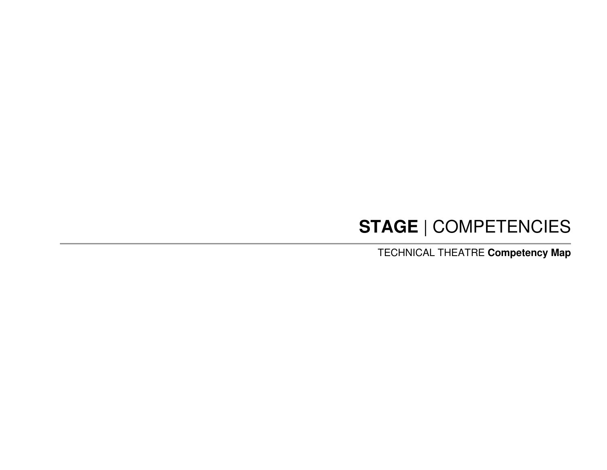# **STAGE** | COMPETENCIES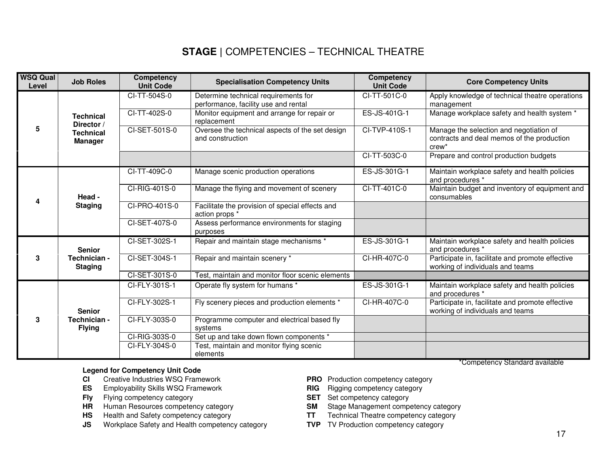# **STAGE |** COMPETENCIES – TECHNICAL THEATRE

| <b>WSQ Qual</b><br>Level | <b>Job Roles</b>                   | Competency<br><b>Unit Code</b> | <b>Specialisation Competency Units</b>                                       | <b>Competency</b><br><b>Unit Code</b> | <b>Core Competency Units</b>                                                                      |
|--------------------------|------------------------------------|--------------------------------|------------------------------------------------------------------------------|---------------------------------------|---------------------------------------------------------------------------------------------------|
|                          |                                    | CI-TT-504S-0                   | Determine technical requirements for<br>performance, facility use and rental | CI-TT-501C-0                          | Apply knowledge of technical theatre operations<br>management                                     |
|                          | <b>Technical</b><br>Director /     | CI-TT-402S-0                   | Monitor equipment and arrange for repair or<br>replacement                   | ES-JS-401G-1                          | Manage workplace safety and health system *                                                       |
| 5                        | <b>Technical</b><br><b>Manager</b> | CI-SET-501S-0                  | Oversee the technical aspects of the set design<br>and construction          | CI-TVP-410S-1                         | Manage the selection and negotiation of<br>contracts and deal memos of the production<br>$crew^*$ |
|                          |                                    |                                |                                                                              | CI-TT-503C-0                          | Prepare and control production budgets                                                            |
|                          |                                    | CI-TT-409C-0                   | Manage scenic production operations                                          | ES-JS-301G-1                          | Maintain workplace safety and health policies<br>and procedures *                                 |
| 4                        | Head -                             | CI-RIG-401S-0                  | Manage the flying and movement of scenery                                    | CI-TT-401C-0                          | Maintain budget and inventory of equipment and<br>consumables                                     |
|                          | <b>Staging</b>                     | CI-PRO-401S-0                  | Facilitate the provision of special effects and<br>action props *            |                                       |                                                                                                   |
|                          |                                    | CI-SET-407S-0                  | Assess performance environments for staging<br>purposes                      |                                       |                                                                                                   |
|                          | <b>Senior</b>                      | CI-SET-302S-1                  | Repair and maintain stage mechanisms *                                       | ES-JS-301G-1                          | Maintain workplace safety and health policies<br>and procedures *                                 |
| 3                        | Technician -<br><b>Staging</b>     | CI-SET-304S-1                  | Repair and maintain scenery *                                                | CI-HR-407C-0                          | Participate in, facilitate and promote effective<br>working of individuals and teams              |
|                          |                                    | CI-SET-301S-0                  | Test, maintain and monitor floor scenic elements                             |                                       |                                                                                                   |
| 3                        |                                    | CI-FLY-301S-1                  | Operate fly system for humans *                                              | ES-JS-301G-1                          | Maintain workplace safety and health policies<br>and procedures *                                 |
|                          | <b>Senior</b>                      | CI-FLY-302S-1                  | Fly scenery pieces and production elements *                                 | CI-HR-407C-0                          | Participate in, facilitate and promote effective<br>working of individuals and teams              |
|                          | Technician -<br><b>Flying</b>      | CI-FLY-303S-0                  | Programme computer and electrical based fly<br>systems                       |                                       |                                                                                                   |
|                          |                                    | CI-RIG-303S-0                  | Set up and take down flown components *                                      |                                       |                                                                                                   |
|                          |                                    | CI-FLY-304S-0                  | Test, maintain and monitor flying scenic<br>elements                         |                                       |                                                                                                   |

#### **Legend for Competency Unit Code**

- Creative Industries WSQ Framework
- **CI** Creative Industries WSQ Framework **PRO** Production competency category<br> **PRO** Production competency category<br> **PRO** Production competency category **ES** Employability Skills WSQ Framework **RIG** Rigging competency category **Fig. 3.1 AU CONFIGUARY RIG RIG RIG RIG RIG RIG RIG RIG RIG RIG RIG RIG RIG RIG RIG RIG RIG RIG RIG RIG RI**
- **Fly** Flying competency category
- **HR** Human Resources competency category **SM** Stage Management competency category
- 
- **HS** Health and Safety competency category<br> **JS** Workplace Safety and Health competency category **TVP** TV Production competency category **JS** Workplace Safety and Health competency category
- 
- 
- 
- -
	-

\*Competency Standard available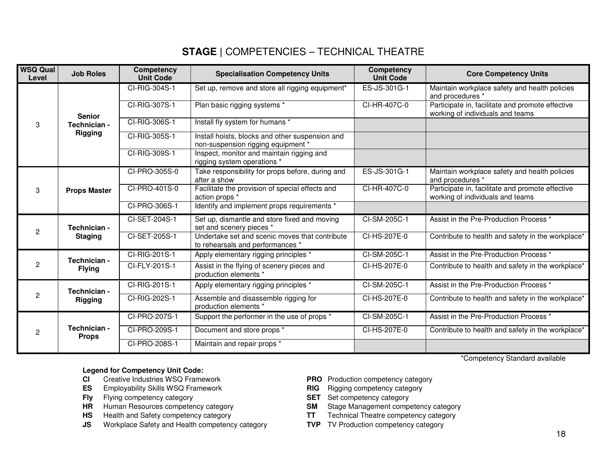## **STAGE |** COMPETENCIES – TECHNICAL THEATRE

| <b>WSQ Qual</b><br>Level | <b>Job Roles</b>               | Competency<br><b>Unit Code</b> | <b>Specialisation Competency Units</b>                                                | Competency<br><b>Unit Code</b> | <b>Core Competency Units</b>                                                         |
|--------------------------|--------------------------------|--------------------------------|---------------------------------------------------------------------------------------|--------------------------------|--------------------------------------------------------------------------------------|
|                          |                                | CI-RIG-304S-1                  | Set up, remove and store all rigging equipment*                                       | ES-JS-301G-1                   | Maintain workplace safety and health policies<br>and procedures *                    |
|                          | <b>Senior</b>                  | CI-RIG-307S-1                  | Plan basic rigging systems *                                                          | CI-HR-407C-0                   | Participate in, facilitate and promote effective<br>working of individuals and teams |
| 3                        | Technician -                   | CI-RIG-306S-1                  | Install fly system for humans *                                                       |                                |                                                                                      |
|                          | Rigging                        | CI-RIG-305S-1                  | Install hoists, blocks and other suspension and<br>non-suspension rigging equipment * |                                |                                                                                      |
|                          |                                | CI-RIG-309S-1                  | Inspect, monitor and maintain rigging and<br>rigging system operations *              |                                |                                                                                      |
|                          |                                | CI-PRO-305S-0                  | Take responsibility for props before, during and<br>after a show                      | ES-JS-301G-1                   | Maintain workplace safety and health policies<br>and procedures *                    |
| 3                        | <b>Props Master</b>            | CI-PRO-401S-0                  | Facilitate the provision of special effects and<br>action props *                     | CI-HR-407C-0                   | Participate in, facilitate and promote effective<br>working of individuals and teams |
|                          |                                | CI-PRO-306S-1                  | Identify and implement props requirements *                                           |                                |                                                                                      |
| 2                        | Technician -<br><b>Staging</b> | CI-SET-204S-1                  | Set up, dismantle and store fixed and moving<br>set and scenery pieces *              | CI-SM-205C-1                   | Assist in the Pre-Production Process *                                               |
|                          |                                | CI-SET-205S-1                  | Undertake set and scenic moves that contribute<br>to rehearsals and performances *    | CI-HS-207E-0                   | Contribute to health and safety in the workplace*                                    |
|                          | Technician -                   | CI-RIG-201S-1                  | Apply elementary rigging principles *                                                 | CI-SM-205C-1                   | Assist in the Pre-Production Process *                                               |
| $\mathcal{P}$            | <b>Flying</b>                  | CI-FLY-201S-1                  | Assist in the flying of scenery pieces and<br>production elements *                   | CI-HS-207E-0                   | Contribute to health and safety in the workplace*                                    |
|                          | Technician -                   | CI-RIG-201S-1                  | Apply elementary rigging principles *                                                 | CI-SM-205C-1                   | Assist in the Pre-Production Process *                                               |
| 2                        | <b>Rigging</b>                 | CI-RIG-202S-1                  | Assemble and disassemble rigging for<br>production elements *                         | CI-HS-207E-0                   | Contribute to health and safety in the workplace*                                    |
|                          |                                | CI-PRO-207S-1                  | Support the performer in the use of props *                                           | CI-SM-205C-1                   | Assist in the Pre-Production Process *                                               |
| $\overline{c}$           | Technician -<br><b>Props</b>   | CI-PRO-209S-1                  | Document and store props *                                                            | CI-HS-207E-0                   | Contribute to health and safety in the workplace*                                    |
|                          |                                | CI-PRO-208S-1                  | Maintain and repair props *                                                           |                                |                                                                                      |

\*Competency Standard available

#### **Legend for Competency Unit Code:**

- Creative Industries WSQ Framework **CI** Creative Industries WSQ Framework **PRO** Production competency category<br> **PRO** Production competency category<br> **PRO** Production competency category
- **ES** Employability Skills WSQ Framework **RIG** Rigging competency category **Fig. 3.1 AU CONFIGUARY RIG RIG RIG RIG RIG RIG RIG RIG RIG RIG RIG RIG RIG RIG RIG RIG RIG RIG RIG RIG RI**
- **Fly** Flying competency category
- **HR** Human Resources competency category **SM** Stage Management competency category<br>**HS** Health and Safety competency category **SM** TT Technical Theatre competency category
- 
- **HS** Health and Safety competency category **TT** Technical Theatre competency category **JS** Workplace Safety and Health competency category **TVP** TV Production competency category **JS** Workplace Safety and Health competency category
- 
- 
- 
- Stage Management competency category
	-
	-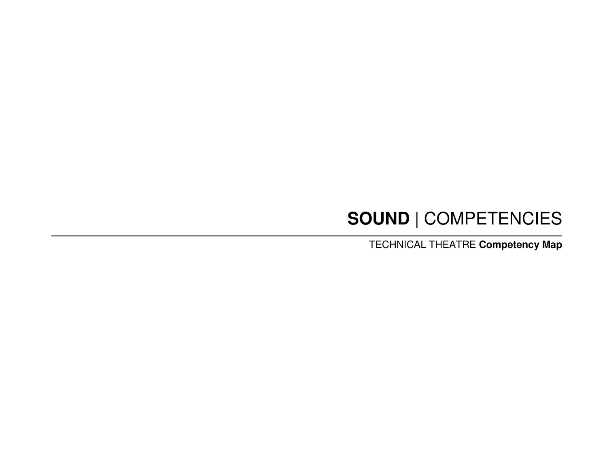# **SOUND** | COMPETENCIES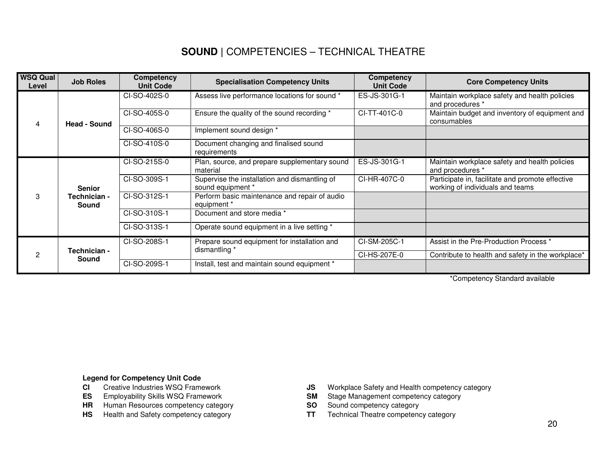## **SOUND |** COMPETENCIES – TECHNICAL THEATRE

| <b>WSQ Qual</b><br>Level | <b>Job Roles</b>                       | Competency<br><b>Unit Code</b> | <b>Specialisation Competency Units</b>                             | <b>Competency</b><br><b>Unit Code</b> | <b>Core Competency Units</b>                                                         |
|--------------------------|----------------------------------------|--------------------------------|--------------------------------------------------------------------|---------------------------------------|--------------------------------------------------------------------------------------|
|                          |                                        | CI-SO-402S-0                   | Assess live performance locations for sound *                      | ES-JS-301G-1                          | Maintain workplace safety and health policies<br>and procedures *                    |
| 4                        | <b>Head - Sound</b>                    | CI-SO-405S-0                   | Ensure the quality of the sound recording *                        | CI-TT-401C-0                          | Maintain budget and inventory of equipment and<br>consumables                        |
|                          |                                        | CI-SO-406S-0                   | Implement sound design *                                           |                                       |                                                                                      |
|                          |                                        | CI-SO-410S-0                   | Document changing and finalised sound<br>requirements              |                                       |                                                                                      |
| 3                        | <b>Senior</b><br>Technician -<br>Sound | CI-SO-215S-0                   | Plan, source, and prepare supplementary sound<br>material          | ES-JS-301G-1                          | Maintain workplace safety and health policies<br>and procedures *                    |
|                          |                                        | CI-SO-309S-1                   | Supervise the installation and dismantling of<br>sound equipment * | CI-HR-407C-0                          | Participate in, facilitate and promote effective<br>working of individuals and teams |
|                          |                                        | CI-SO-312S-1                   | Perform basic maintenance and repair of audio<br>equipment *       |                                       |                                                                                      |
|                          |                                        | CI-SO-310S-1                   | Document and store media *                                         |                                       |                                                                                      |
|                          |                                        | CI-SO-313S-1                   | Operate sound equipment in a live setting *                        |                                       |                                                                                      |
| 2                        |                                        | CI-SO-208S-1                   | Prepare sound equipment for installation and                       | CI-SM-205C-1                          | Assist in the Pre-Production Process *                                               |
|                          | Technician -<br>Sound                  |                                | dismantling *                                                      | CI-HS-207E-0                          | Contribute to health and safety in the workplace*                                    |
|                          |                                        | CI-SO-209S-1                   | Install, test and maintain sound equipment *                       |                                       |                                                                                      |

\*Competency Standard available

## **Legend for Competency Unit Code CI** Creative Industries WSQ Frame

- Creative Industries WSQ Framework
- **ES** Employability Skills WSQ Framework **SM** SM
- **HR** Human Resources competency category **SO** Sound competency category
- **HS** Health and Safety competency category **TT**
- **JS** Workplace Safety and Health competency category<br> **SM** Stage Management competency category
- 
- 
- Technical Theatre competency category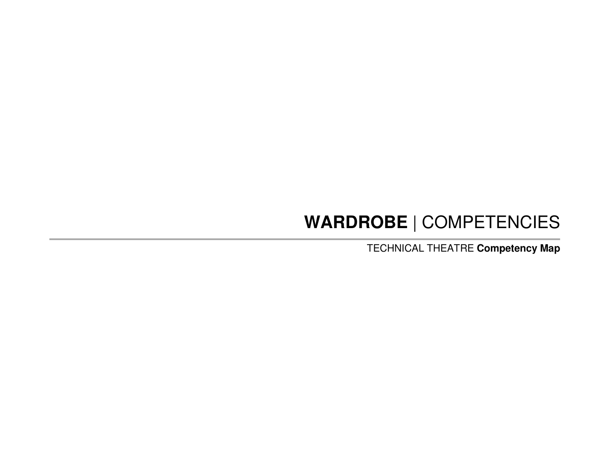# **WARDROBE** | COMPETENCIES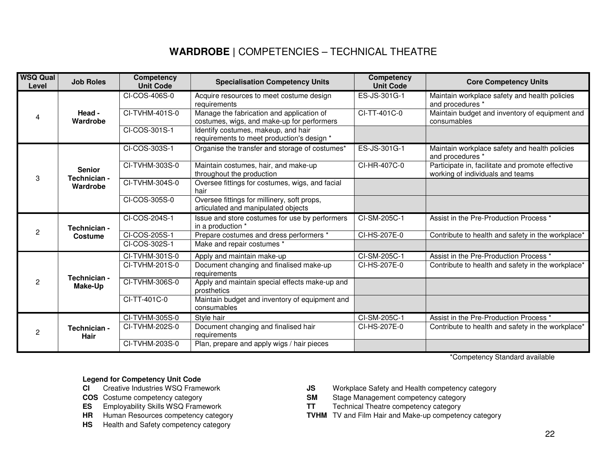# **WARDROBE |** COMPETENCIES – TECHNICAL THEATRE

| <b>WSQ Qual</b><br>Level | <b>Job Roles</b>                          | Competency<br><b>Unit Code</b> | <b>Specialisation Competency Units</b>                                                  | Competency<br><b>Unit Code</b> | <b>Core Competency Units</b>                                                         |
|--------------------------|-------------------------------------------|--------------------------------|-----------------------------------------------------------------------------------------|--------------------------------|--------------------------------------------------------------------------------------|
| 4                        | Head -<br>Wardrobe                        | CI-COS-406S-0                  | Acquire resources to meet costume design<br>requirements                                | ES-JS-301G-1                   | Maintain workplace safety and health policies<br>and procedures *                    |
|                          |                                           | CI-TVHM-401S-0                 | Manage the fabrication and application of<br>costumes, wigs, and make-up for performers | CI-TT-401C-0                   | Maintain budget and inventory of equipment and<br>consumables                        |
|                          |                                           | CI-COS-301S-1                  | Identify costumes, makeup, and hair<br>requirements to meet production's design *       |                                |                                                                                      |
| 3                        | <b>Senior</b><br>Technician -<br>Wardrobe | CI-COS-303S-1                  | Organise the transfer and storage of costumes*                                          | ES-JS-301G-1                   | Maintain workplace safety and health policies<br>and procedures *                    |
|                          |                                           | CI-TVHM-303S-0                 | Maintain costumes, hair, and make-up<br>throughout the production                       | CI-HR-407C-0                   | Participate in, facilitate and promote effective<br>working of individuals and teams |
|                          |                                           | CI-TVHM-304S-0                 | Oversee fittings for costumes, wigs, and facial<br>hair                                 |                                |                                                                                      |
|                          |                                           | CI-COS-305S-0                  | Oversee fittings for millinery, soft props,<br>articulated and manipulated objects      |                                |                                                                                      |
| $\overline{2}$           | Technician -<br>Costume                   | CI-COS-204S-1                  | Issue and store costumes for use by performers<br>in a production *                     | CI-SM-205C-1                   | Assist in the Pre-Production Process *                                               |
|                          |                                           | CI-COS-205S-1                  | Prepare costumes and dress performers *                                                 | CI-HS-207E-0                   | Contribute to health and safety in the workplace*                                    |
|                          |                                           | CI-COS-302S-1                  | Make and repair costumes *                                                              |                                |                                                                                      |
| 2                        | Technician -<br>Make-Up                   | CI-TVHM-301S-0                 | Apply and maintain make-up                                                              | CI-SM-205C-1                   | Assist in the Pre-Production Process *                                               |
|                          |                                           | CI-TVHM-201S-0                 | Document changing and finalised make-up<br>requirements                                 | CI-HS-207E-0                   | Contribute to health and safety in the workplace*                                    |
|                          |                                           | CI-TVHM-306S-0                 | Apply and maintain special effects make-up and<br>prosthetics                           |                                |                                                                                      |
|                          |                                           | CI-TT-401C-0                   | Maintain budget and inventory of equipment and<br>consumables                           |                                |                                                                                      |
| 2                        | Technician -<br><b>Hair</b>               | CI-TVHM-305S-0                 | Style hair                                                                              | CI-SM-205C-1                   | Assist in the Pre-Production Process *                                               |
|                          |                                           | CI-TVHM-202S-0                 | Document changing and finalised hair<br>requirements                                    | CI-HS-207E-0                   | Contribute to health and safety in the workplace*                                    |
|                          |                                           | CI-TVHM-203S-0                 | Plan, prepare and apply wigs / hair pieces                                              |                                |                                                                                      |

\*Competency Standard available

#### **Legend for Competency Unit Code**

- **CI** Creative Industries WSQ Framework
- 
- 
- 
- **HS** Health and Safety competency category
- **CI** Creative Industries WSQ Framework **JS** Workplace Safety and Health competency category<br> **COS** Costume competency category<br> **COS** Costume competency category
	- **SM** Stage Management competency category
- **ES** Employability Skills WSQ Framework **TT** Technical Theatre competency category<br>**HR** Human Resources competency category **TVHM** TV and Film Hair and Make-up competen
- **HR** Human Resources competency category **TVHM** TV and Film Hair and Make-up competency category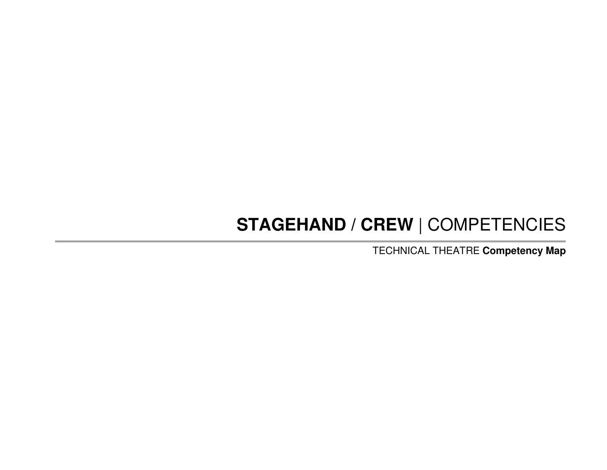# **STAGEHAND / CREW** | COMPETENCIES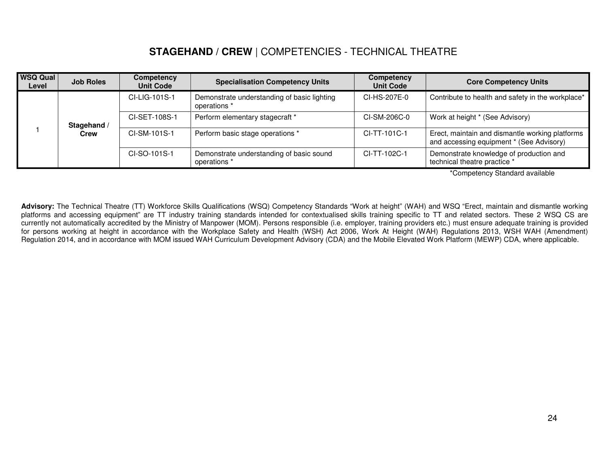### **STAGEHAND / CREW** | COMPETENCIES - TECHNICAL THEATRE

| <b>WSQ Qual</b><br>Level | <b>Job Roles</b>    | Competency<br><b>Unit Code</b> | <b>Specialisation Competency Units</b>                      | Competency<br><b>Unit Code</b> | <b>Core Competency Units</b>                                                                |
|--------------------------|---------------------|--------------------------------|-------------------------------------------------------------|--------------------------------|---------------------------------------------------------------------------------------------|
|                          | Stagehand /<br>Crew | CI-LIG-101S-1                  | Demonstrate understanding of basic lighting<br>operations * | CI-HS-207E-0                   | Contribute to health and safety in the workplace*                                           |
|                          |                     | CI-SET-108S-1                  | Perform elementary stagecraft *                             | CI-SM-206C-0                   | Work at height * (See Advisory)                                                             |
|                          |                     | CI-SM-101S-1                   | Perform basic stage operations *                            | CI-TT-101C-1                   | Erect, maintain and dismantle working platforms<br>and accessing equipment * (See Advisory) |
|                          |                     | CI-SO-101S-1                   | Demonstrate understanding of basic sound<br>operations *    | CI-TT-102C-1                   | Demonstrate knowledge of production and<br>technical theatre practice *                     |

\*Competency Standard available

**Advisory:** The Technical Theatre (TT) Workforce Skills Qualifications (WSQ) Competency Standards "Work at height" (WAH) and WSQ "Erect, maintain and dismantle working platforms and accessing equipment" are TT industry training standards intended for contextualised skills training specific to TT and related sectors. These 2 WSQ CS are currently not automatically accredited by the Ministry of Manpower (MOM). Persons responsible (i.e. employer, training providers etc.) must ensure adequate training is provided for persons working at height in accordance with the Workplace Safety and Health (WSH) Act 2006, Work At Height (WAH) Regulations 2013, WSH WAH (Amendment) Regulation 2014, and in accordance with MOM issued WAH Curriculum Development Advisory (CDA) and the Mobile Elevated Work Platform (MEWP) CDA, where applicable.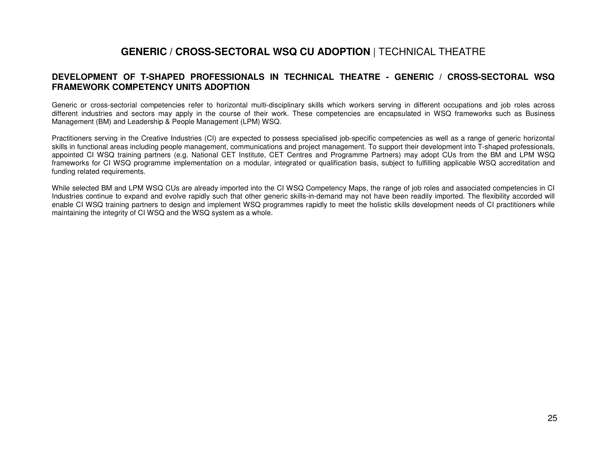### **GENERIC / CROSS-SECTORAL WSQ CU ADOPTION** | TECHNICAL THEATRE

#### **DEVELOPMENT OF T-SHAPED PROFESSIONALS IN TECHNICAL THEATRE - GENERIC / CROSS-SECTORAL WSQ FRAMEWORK COMPETENCY UNITS ADOPTION**

Generic or cross-sectorial competencies refer to horizontal multi-disciplinary skills which workers serving in different occupations and job roles across different industries and sectors may apply in the course of their work. These competencies are encapsulated in WSQ frameworks such as Business Management (BM) and Leadership & People Management (LPM) WSQ.

Practitioners serving in the Creative Industries (CI) are expected to possess specialised job-specific competencies as well as a range of generic horizontal skills in functional areas including people management, communications and project management. To support their development into T-shaped professionals, appointed CI WSQ training partners (e.g. National CET Institute, CET Centres and Programme Partners) may adopt CUs from the BM and LPM WSQ frameworks for CI WSQ programme implementation on a modular, integrated or qualification basis, subject to fulfilling applicable WSQ accreditation and funding related requirements.

While selected BM and LPM WSQ CUs are already imported into the CI WSQ Competency Maps, the range of job roles and associated competencies in CI Industries continue to expand and evolve rapidly such that other generic skills-in-demand may not have been readily imported. The flexibility accorded will enable CI WSQ training partners to design and implement WSQ programmes rapidly to meet the holistic skills development needs of CI practitioners while maintaining the integrity of CI WSQ and the WSQ system as a whole.